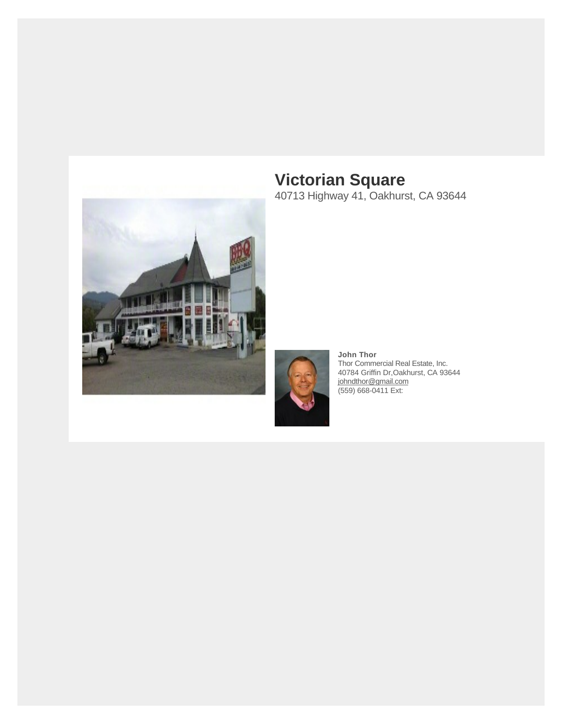

**Victorian Square** 40713 Highway 41, Oakhurst, CA 93644



**John Thor** Thor Commercial Real Estate, Inc. 40784 Griffin Dr,Oakhurst, CA 93644 [johndthor@gmail.com](mailto:johndthor@gmail.com) (559) 668-0411 Ext: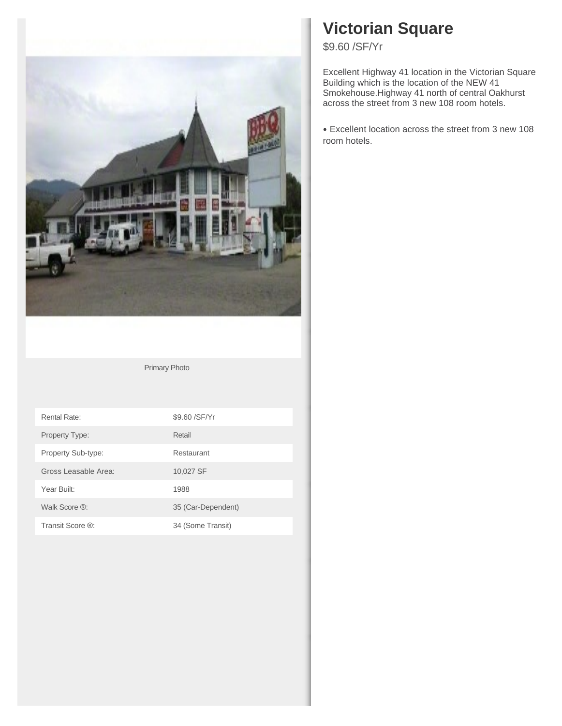

Primary Photo

| Rental Rate:         | \$9.60 / SF/ Yr    |
|----------------------|--------------------|
| Property Type:       | Retail             |
| Property Sub-type:   | Restaurant         |
| Gross Leasable Area: | 10,027 SF          |
| Year Built:          | 1988               |
| Walk Score ®:        | 35 (Car-Dependent) |
| Transit Score ®:     | 34 (Some Transit)  |

# **Victorian Square**

\$9.60 /SF/Yr

Excellent Highway 41 location in the Victorian Square Building which is the location of the NEW 41 Smokehouse.Highway 41 north of central Oakhurst across the street from 3 new 108 room hotels.

Excellent location across the street from 3 new 108 •room hotels.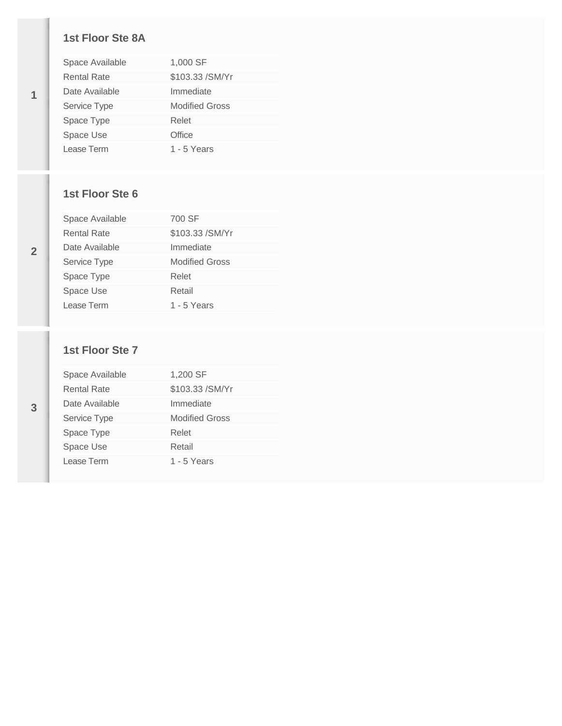#### **1st Floor Ste 8A**

| Space Available    | 1,000 SF              |
|--------------------|-----------------------|
| <b>Rental Rate</b> | \$103.33 / SM/ Yr     |
| Date Available     | Immediate             |
| Service Type       | <b>Modified Gross</b> |
| Space Type         | Relet                 |
| Space Use          | Office                |
| Lease Term         | 1 - $5$ Years         |

### **1st Floor Ste 6**

| Space Available | 700 SF                |
|-----------------|-----------------------|
| Rental Rate     | \$103.33 / SM/ Yr     |
| Date Available  | Immediate             |
| Service Type    | <b>Modified Gross</b> |
| Space Type      | Relet                 |
| Space Use       | Retail                |
| Lease Term      | 1 - 5 Years           |

### **1st Floor Ste 7**

| Space Available    | 1,200 SF              |
|--------------------|-----------------------|
| <b>Rental Rate</b> | \$103.33 / SM/Yr      |
| Date Available     | Immediate             |
| Service Type       | <b>Modified Gross</b> |
| Space Type         | Relet                 |
| Space Use          | Retail                |
| Lease Term         | 1 - 5 Years           |
|                    |                       |

**1**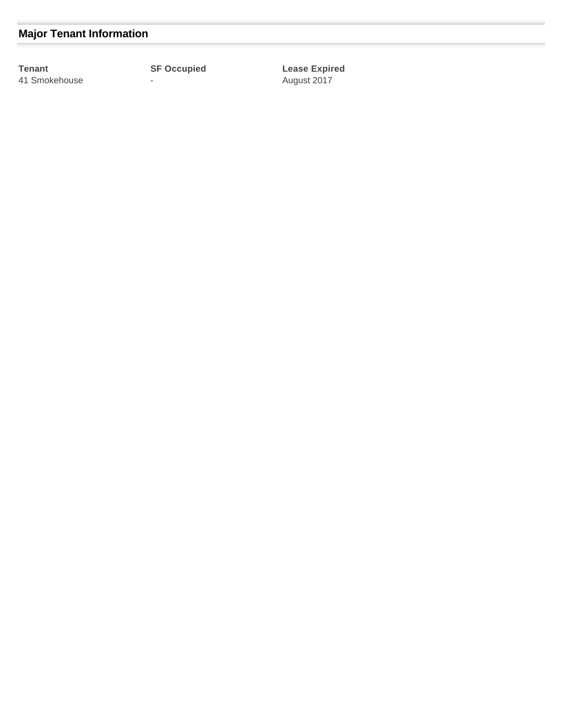## **Major Tenant Information**

**Tenant SF Occupied Lease Expired** 41 Smokehouse - August 2017